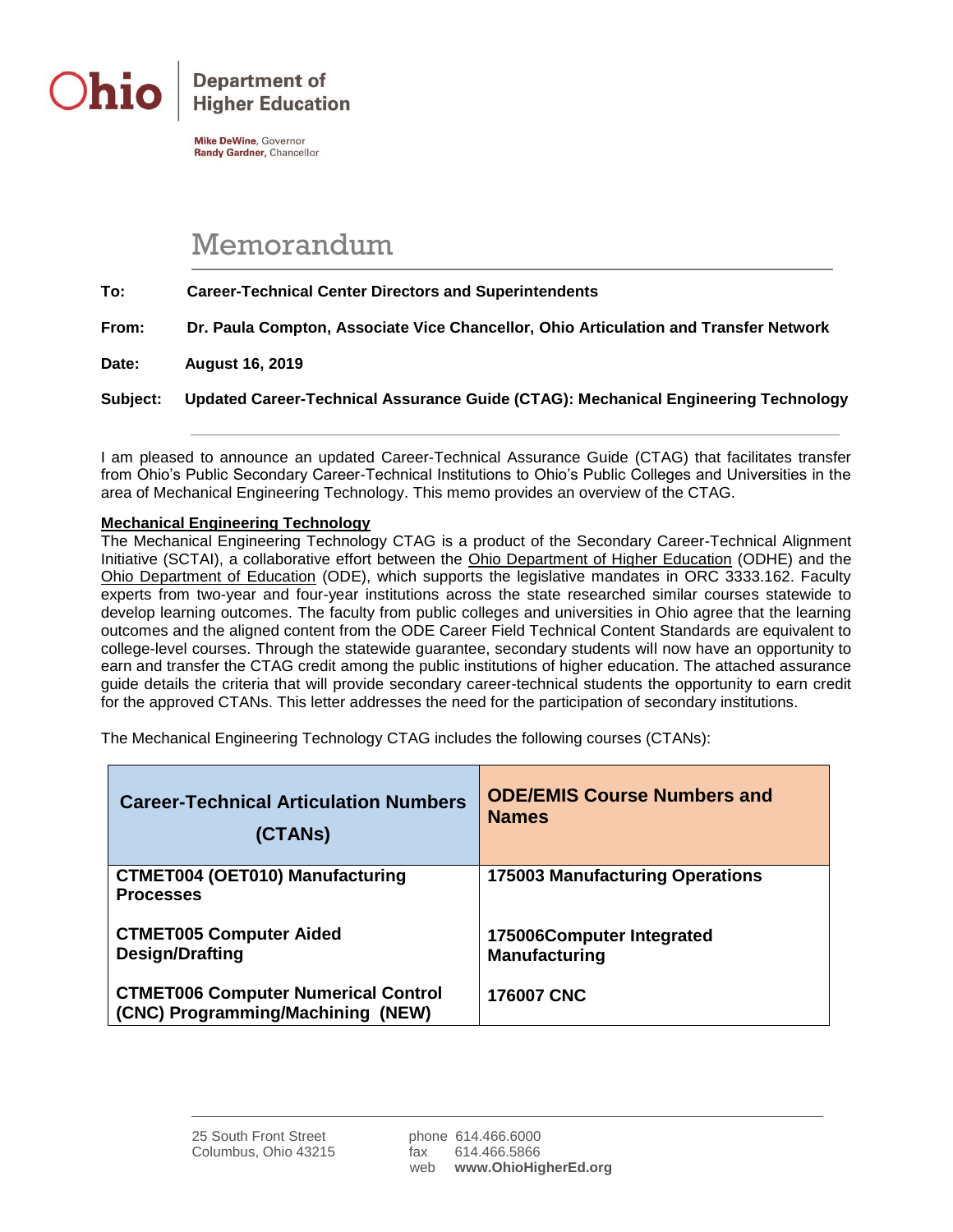

**Department of Higher Education** 

Mike DeWine, Governor Randy Gardner, Chancellor

## Memorandum

**To: Career-Technical Center Directors and Superintendents**

**From: Dr. Paula Compton, Associate Vice Chancellor, Ohio Articulation and Transfer Network**

**Date: August 16, 2019**

**Subject: Updated Career-Technical Assurance Guide (CTAG): Mechanical Engineering Technology**

I am pleased to announce an updated Career-Technical Assurance Guide (CTAG) that facilitates transfer from Ohio's Public Secondary Career-Technical Institutions to Ohio's Public Colleges and Universities in the area of Mechanical Engineering Technology. This memo provides an overview of the CTAG.

## **Mechanical Engineering Technology**

The Mechanical Engineering Technology CTAG is a product of the Secondary Career-Technical Alignment Initiative (SCTAI), a collaborative effort between the Ohio Department of Higher Education (ODHE) and the Ohio Department of Education (ODE), which supports the legislative mandates in ORC 3333.162. Faculty experts from two-year and four-year institutions across the state researched similar courses statewide to develop learning outcomes. The faculty from public colleges and universities in Ohio agree that the learning outcomes and the aligned content from the ODE Career Field Technical Content Standards are equivalent to college-level courses. Through the statewide guarantee, secondary students will now have an opportunity to earn and transfer the CTAG credit among the public institutions of higher education. The attached assurance guide details the criteria that will provide secondary career-technical students the opportunity to earn credit for the approved CTANs. This letter addresses the need for the participation of secondary institutions.

The Mechanical Engineering Technology CTAG includes the following courses (CTANs):

| <b>Career-Technical Articulation Numbers</b>                                    | <b>ODE/EMIS Course Numbers and</b>     |
|---------------------------------------------------------------------------------|----------------------------------------|
| (CTANS)                                                                         | <b>Names</b>                           |
| <b>CTMET004 (OET010) Manufacturing</b><br><b>Processes</b>                      | <b>175003 Manufacturing Operations</b> |
| <b>CTMET005 Computer Aided</b>                                                  | 175006Computer Integrated              |
| <b>Design/Drafting</b>                                                          | <b>Manufacturing</b>                   |
| <b>CTMET006 Computer Numerical Control</b><br>(CNC) Programming/Machining (NEW) | <b>176007 CNC</b>                      |